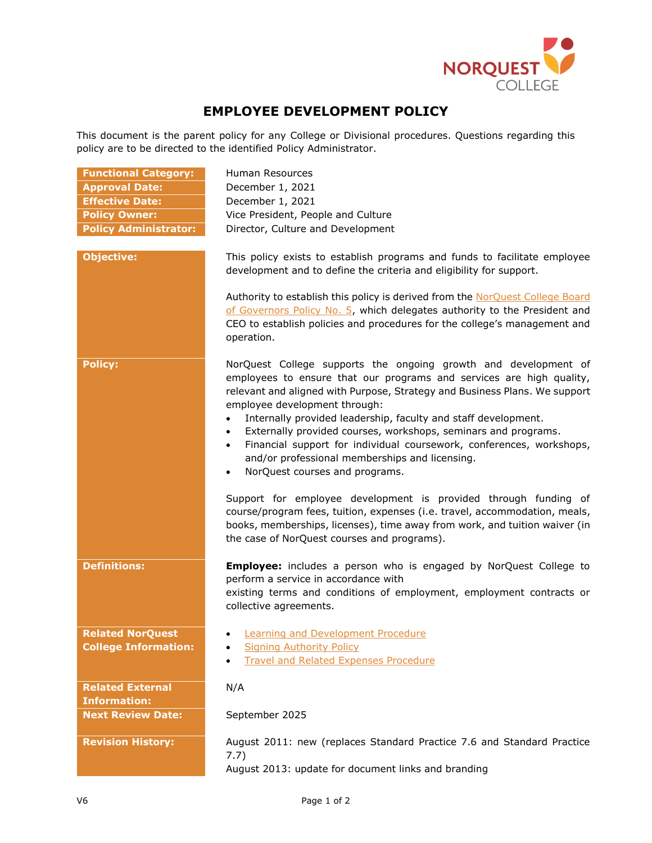

## **EMPLOYEE DEVELOPMENT POLICY**

This document is the parent policy for any College or Divisional procedures. Questions regarding this policy are to be directed to the identified Policy Administrator.

| Human Resources                                                                                                                                                                                                                                                                                                                                                                                                                                                                                                                                                                                                                                     |
|-----------------------------------------------------------------------------------------------------------------------------------------------------------------------------------------------------------------------------------------------------------------------------------------------------------------------------------------------------------------------------------------------------------------------------------------------------------------------------------------------------------------------------------------------------------------------------------------------------------------------------------------------------|
| December 1, 2021                                                                                                                                                                                                                                                                                                                                                                                                                                                                                                                                                                                                                                    |
| December 1, 2021                                                                                                                                                                                                                                                                                                                                                                                                                                                                                                                                                                                                                                    |
| Vice President, People and Culture                                                                                                                                                                                                                                                                                                                                                                                                                                                                                                                                                                                                                  |
| Director, Culture and Development                                                                                                                                                                                                                                                                                                                                                                                                                                                                                                                                                                                                                   |
|                                                                                                                                                                                                                                                                                                                                                                                                                                                                                                                                                                                                                                                     |
| This policy exists to establish programs and funds to facilitate employee<br>development and to define the criteria and eligibility for support.                                                                                                                                                                                                                                                                                                                                                                                                                                                                                                    |
| Authority to establish this policy is derived from the NorQuest College Board<br>of Governors Policy No. 5, which delegates authority to the President and<br>CEO to establish policies and procedures for the college's management and<br>operation.                                                                                                                                                                                                                                                                                                                                                                                               |
| NorQuest College supports the ongoing growth and development of<br>employees to ensure that our programs and services are high quality,<br>relevant and aligned with Purpose, Strategy and Business Plans. We support<br>employee development through:<br>Internally provided leadership, faculty and staff development.<br>Externally provided courses, workshops, seminars and programs.<br>$\bullet$<br>Financial support for individual coursework, conferences, workshops,<br>$\bullet$<br>and/or professional memberships and licensing.<br>NorQuest courses and programs.<br>Support for employee development is provided through funding of |
| course/program fees, tuition, expenses (i.e. travel, accommodation, meals,<br>books, memberships, licenses), time away from work, and tuition waiver (in<br>the case of NorQuest courses and programs).                                                                                                                                                                                                                                                                                                                                                                                                                                             |
| <b>Employee:</b> includes a person who is engaged by NorQuest College to<br>perform a service in accordance with<br>existing terms and conditions of employment, employment contracts or<br>collective agreements.                                                                                                                                                                                                                                                                                                                                                                                                                                  |
| <b>Learning and Development Procedure</b>                                                                                                                                                                                                                                                                                                                                                                                                                                                                                                                                                                                                           |
| <b>Signing Authority Policy</b>                                                                                                                                                                                                                                                                                                                                                                                                                                                                                                                                                                                                                     |
| <b>Travel and Related Expenses Procedure</b>                                                                                                                                                                                                                                                                                                                                                                                                                                                                                                                                                                                                        |
|                                                                                                                                                                                                                                                                                                                                                                                                                                                                                                                                                                                                                                                     |
| N/A                                                                                                                                                                                                                                                                                                                                                                                                                                                                                                                                                                                                                                                 |
|                                                                                                                                                                                                                                                                                                                                                                                                                                                                                                                                                                                                                                                     |
|                                                                                                                                                                                                                                                                                                                                                                                                                                                                                                                                                                                                                                                     |
| September 2025                                                                                                                                                                                                                                                                                                                                                                                                                                                                                                                                                                                                                                      |
| August 2011: new (replaces Standard Practice 7.6 and Standard Practice<br>7.7)<br>August 2013: update for document links and branding                                                                                                                                                                                                                                                                                                                                                                                                                                                                                                               |
|                                                                                                                                                                                                                                                                                                                                                                                                                                                                                                                                                                                                                                                     |